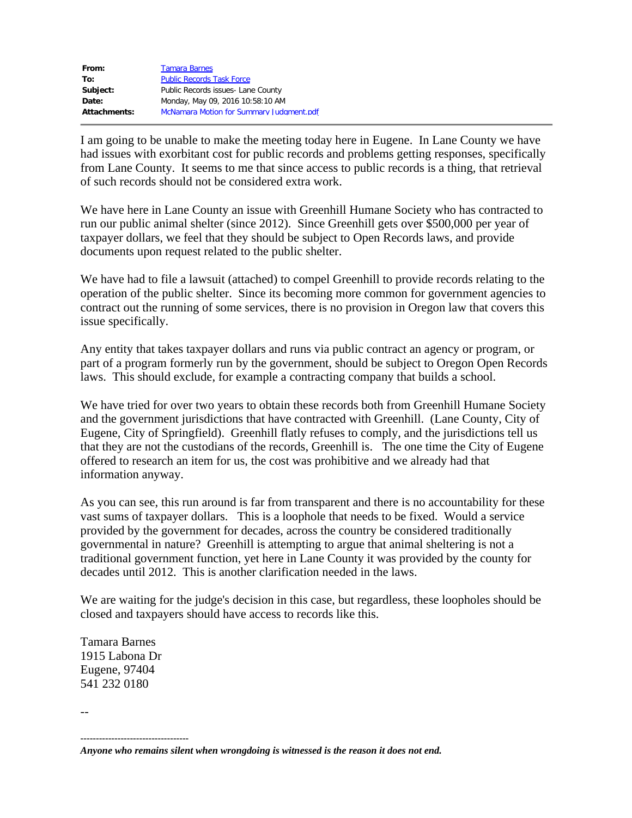| From:        | <b>Tamara Barnes</b>                     |
|--------------|------------------------------------------|
| To:          | <b>Public Records Task Force</b>         |
| Subject:     | Public Records issues- Lane County       |
| Date:        | Monday, May 09, 2016 10:58:10 AM         |
| Attachments: | McNamara Motion for Summary Judgment.pdf |

I am going to be unable to make the meeting today here in Eugene. In Lane County we have had issues with exorbitant cost for public records and problems getting responses, specifically from Lane County. It seems to me that since access to public records is a thing, that retrieval of such records should not be considered extra work.

We have here in Lane County an issue with Greenhill Humane Society who has contracted to run our public animal shelter (since 2012). Since Greenhill gets over \$500,000 per year of taxpayer dollars, we feel that they should be subject to Open Records laws, and provide documents upon request related to the public shelter.

We have had to file a lawsuit (attached) to compel Greenhill to provide records relating to the operation of the public shelter. Since its becoming more common for government agencies to contract out the running of some services, there is no provision in Oregon law that covers this issue specifically.

Any entity that takes taxpayer dollars and runs via public contract an agency or program, or part of a program formerly run by the government, should be subject to Oregon Open Records laws. This should exclude, for example a contracting company that builds a school.

We have tried for over two years to obtain these records both from Greenhill Humane Society and the government jurisdictions that have contracted with Greenhill. (Lane County, City of Eugene, City of Springfield). Greenhill flatly refuses to comply, and the jurisdictions tell us that they are not the custodians of the records, Greenhill is. The one time the City of Eugene offered to research an item for us, the cost was prohibitive and we already had that information anyway.

As you can see, this run around is far from transparent and there is no accountability for these vast sums of taxpayer dollars. This is a loophole that needs to be fixed. Would a service provided by the government for decades, across the country be considered traditionally governmental in nature? Greenhill is attempting to argue that animal sheltering is not a traditional government function, yet here in Lane County it was provided by the county for decades until 2012. This is another clarification needed in the laws.

We are waiting for the judge's decision in this case, but regardless, these loopholes should be closed and taxpayers should have access to records like this.

Tamara Barnes 1915 Labona Dr Eugene, 97404 541 232 0180

--

**-----------------------------------**

*Anyone who remains silent when wrongdoing is witnessed is the reason it does not end.*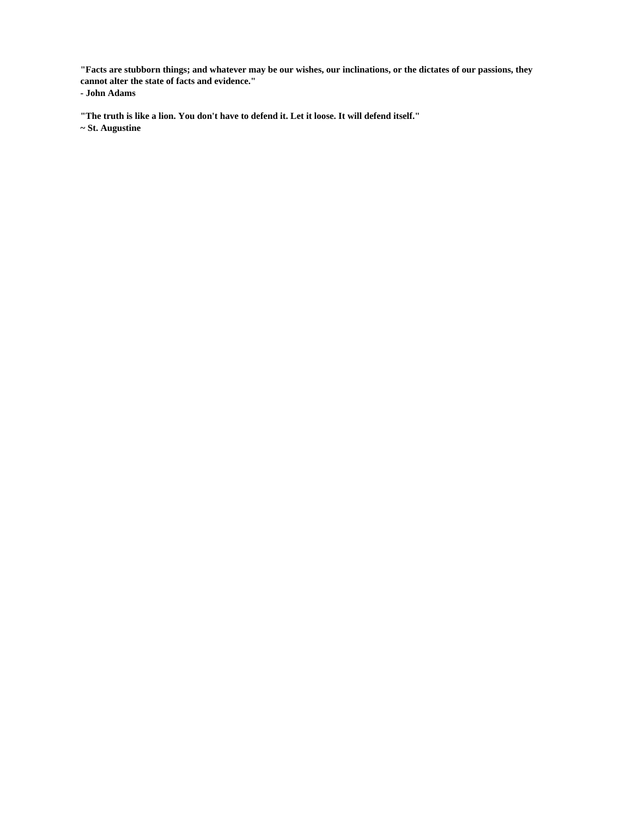**"Facts are stubborn things; and whatever may be our wishes, our inclinations, or the dictates of our passions, they cannot alter the state of facts and evidence." - John Adams**

**"The truth is like a lion. You don't have to defend it. Let it loose. It will defend itself."**

**~ St. Augustine**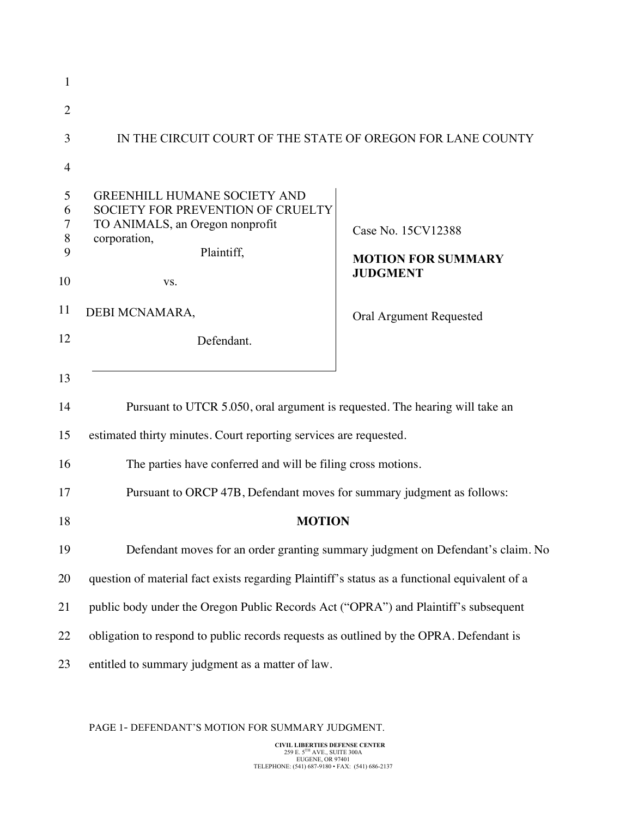| 1                                 |                                                                                                                                                                           |                                                                                 |
|-----------------------------------|---------------------------------------------------------------------------------------------------------------------------------------------------------------------------|---------------------------------------------------------------------------------|
| $\overline{2}$                    |                                                                                                                                                                           |                                                                                 |
| 3                                 | IN THE CIRCUIT COURT OF THE STATE OF OREGON FOR LANE COUNTY                                                                                                               |                                                                                 |
| 4                                 |                                                                                                                                                                           |                                                                                 |
| 5<br>6<br>7<br>8<br>9<br>10<br>11 | <b>GREENHILL HUMANE SOCIETY AND</b><br><b>SOCIETY FOR PREVENTION OF CRUELTY</b><br>TO ANIMALS, an Oregon nonprofit<br>corporation,<br>Plaintiff,<br>VS.<br>DEBI MCNAMARA, | Case No. 15CV12388<br><b>MOTION FOR SUMMARY</b><br><b>JUDGMENT</b>              |
| 12                                |                                                                                                                                                                           | Oral Argument Requested                                                         |
|                                   | Defendant.                                                                                                                                                                |                                                                                 |
| 13                                |                                                                                                                                                                           |                                                                                 |
| 14                                | Pursuant to UTCR 5.050, oral argument is requested. The hearing will take an                                                                                              |                                                                                 |
| 15                                | estimated thirty minutes. Court reporting services are requested.                                                                                                         |                                                                                 |
| 16                                | The parties have conferred and will be filing cross motions.                                                                                                              |                                                                                 |
| 17                                | Pursuant to ORCP 47B, Defendant moves for summary judgment as follows:                                                                                                    |                                                                                 |
| 18                                | <b>MOTION</b>                                                                                                                                                             |                                                                                 |
| 19                                |                                                                                                                                                                           | Defendant moves for an order granting summary judgment on Defendant's claim. No |
| 20                                | question of material fact exists regarding Plaintiff's status as a functional equivalent of a                                                                             |                                                                                 |
| 21                                | public body under the Oregon Public Records Act ("OPRA") and Plaintiff's subsequent                                                                                       |                                                                                 |
| 22                                | obligation to respond to public records requests as outlined by the OPRA. Defendant is                                                                                    |                                                                                 |
| 23                                | entitled to summary judgment as a matter of law.                                                                                                                          |                                                                                 |

## PAGE 1- DEFENDANT'S MOTION FOR SUMMARY JUDGMENT.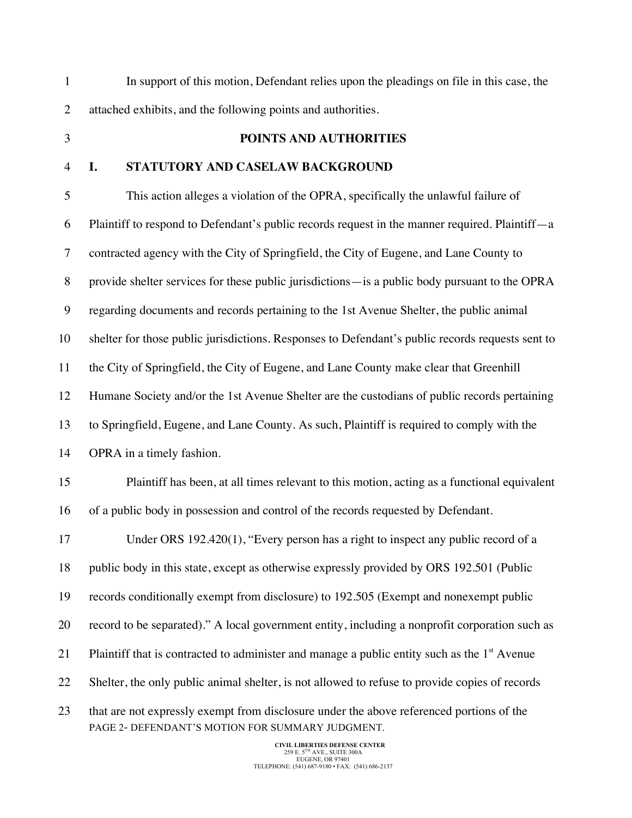PAGE 2- DEFENDANT'S MOTION FOR SUMMARY JUDGMENT. In support of this motion, Defendant relies upon the pleadings on file in this case, the attached exhibits, and the following points and authorities. **POINTS AND AUTHORITIES I. STATUTORY AND CASELAW BACKGROUND** This action alleges a violation of the OPRA, specifically the unlawful failure of Plaintiff to respond to Defendant's public records request in the manner required. Plaintiff—a contracted agency with the City of Springfield, the City of Eugene, and Lane County to provide shelter services for these public jurisdictions—is a public body pursuant to the OPRA regarding documents and records pertaining to the 1st Avenue Shelter, the public animal shelter for those public jurisdictions. Responses to Defendant's public records requests sent to the City of Springfield, the City of Eugene, and Lane County make clear that Greenhill Humane Society and/or the 1st Avenue Shelter are the custodians of public records pertaining to Springfield, Eugene, and Lane County. As such, Plaintiff is required to comply with the OPRA in a timely fashion. Plaintiff has been, at all times relevant to this motion, acting as a functional equivalent of a public body in possession and control of the records requested by Defendant. Under ORS 192.420(1), "Every person has a right to inspect any public record of a 18 public body in this state, except as otherwise expressly provided by ORS 192.501 (Public records conditionally exempt from disclosure) to 192.505 (Exempt and nonexempt public record to be separated)." A local government entity, including a nonprofit corporation such as 21 Plaintiff that is contracted to administer and manage a public entity such as the  $1<sup>st</sup>$  Avenue Shelter, the only public animal shelter, is not allowed to refuse to provide copies of records that are not expressly exempt from disclosure under the above referenced portions of the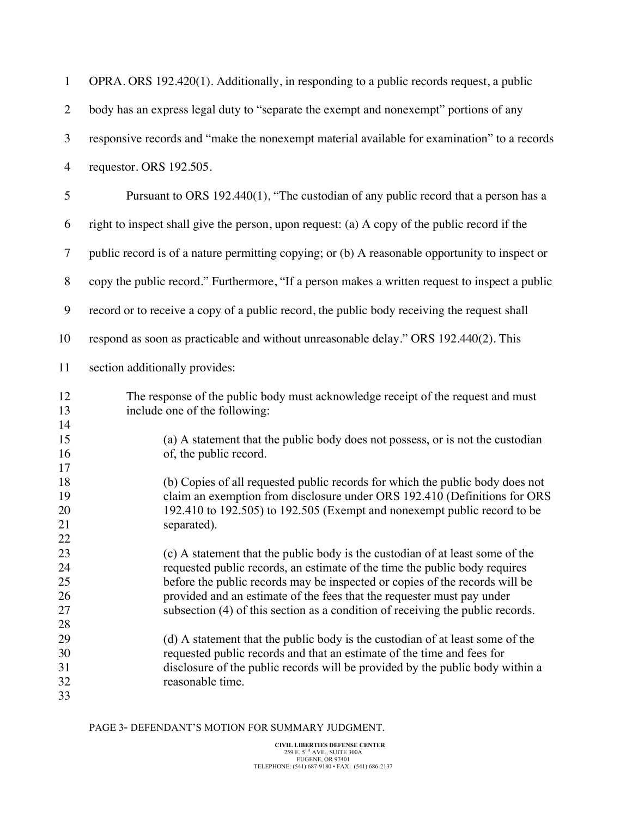| $\mathbf{1}$                     | OPRA. ORS 192.420(1). Additionally, in responding to a public records request, a public                                                                                                                                                                                                                                                                                                                |
|----------------------------------|--------------------------------------------------------------------------------------------------------------------------------------------------------------------------------------------------------------------------------------------------------------------------------------------------------------------------------------------------------------------------------------------------------|
| $\overline{2}$                   | body has an express legal duty to "separate the exempt and nonexempt" portions of any                                                                                                                                                                                                                                                                                                                  |
| $\mathfrak{Z}$                   | responsive records and "make the nonexempt material available for examination" to a records                                                                                                                                                                                                                                                                                                            |
| $\overline{4}$                   | requestor. ORS 192.505.                                                                                                                                                                                                                                                                                                                                                                                |
| 5                                | Pursuant to ORS 192.440(1), "The custodian of any public record that a person has a                                                                                                                                                                                                                                                                                                                    |
| 6                                | right to inspect shall give the person, upon request: (a) A copy of the public record if the                                                                                                                                                                                                                                                                                                           |
| $\overline{7}$                   | public record is of a nature permitting copying; or (b) A reasonable opportunity to inspect or                                                                                                                                                                                                                                                                                                         |
| $8\,$                            | copy the public record." Furthermore, "If a person makes a written request to inspect a public                                                                                                                                                                                                                                                                                                         |
| 9                                | record or to receive a copy of a public record, the public body receiving the request shall                                                                                                                                                                                                                                                                                                            |
| 10                               | respond as soon as practicable and without unreasonable delay." ORS 192.440(2). This                                                                                                                                                                                                                                                                                                                   |
| 11                               | section additionally provides:                                                                                                                                                                                                                                                                                                                                                                         |
| 12<br>13<br>14                   | The response of the public body must acknowledge receipt of the request and must<br>include one of the following:                                                                                                                                                                                                                                                                                      |
| 15<br>16                         | (a) A statement that the public body does not possess, or is not the custodian<br>of, the public record.                                                                                                                                                                                                                                                                                               |
| 17<br>18<br>19<br>20<br>21<br>22 | (b) Copies of all requested public records for which the public body does not<br>claim an exemption from disclosure under ORS 192.410 (Definitions for ORS<br>192.410 to 192.505) to 192.505 (Exempt and nonexempt public record to be<br>separated).                                                                                                                                                  |
| 23<br>24<br>25<br>26<br>27       | (c) A statement that the public body is the custodian of at least some of the<br>requested public records, an estimate of the time the public body requires<br>before the public records may be inspected or copies of the records will be<br>provided and an estimate of the fees that the requester must pay under<br>subsection (4) of this section as a condition of receiving the public records. |
| 28<br>29<br>30<br>31<br>32<br>33 | (d) A statement that the public body is the custodian of at least some of the<br>requested public records and that an estimate of the time and fees for<br>disclosure of the public records will be provided by the public body within a<br>reasonable time.                                                                                                                                           |

PAGE 3- DEFENDANT'S MOTION FOR SUMMARY JUDGMENT.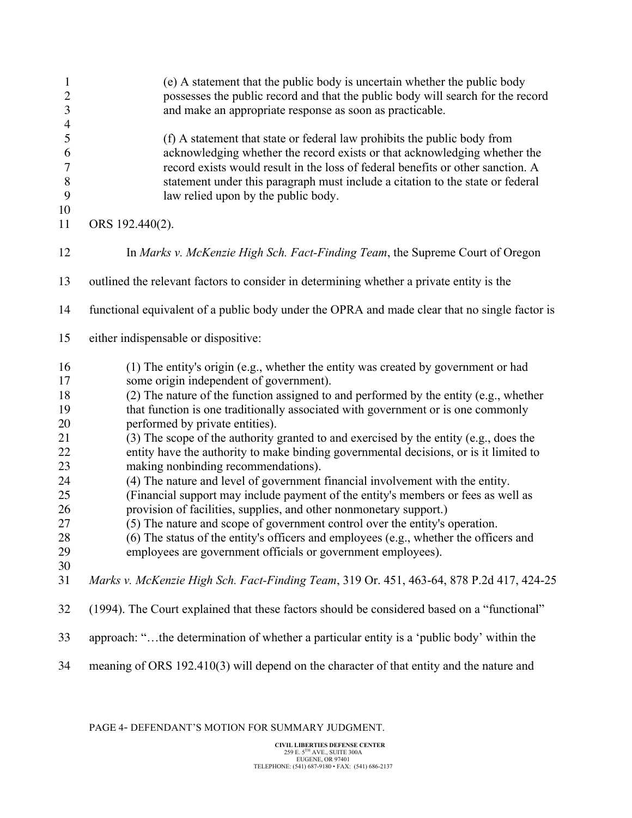| $\mathbf{1}$<br>$\overline{c}$<br>$\mathfrak{Z}$<br>$\overline{4}$ | (e) A statement that the public body is uncertain whether the public body<br>possesses the public record and that the public body will search for the record<br>and make an appropriate response as soon as practicable.                                                                                                                                          |
|--------------------------------------------------------------------|-------------------------------------------------------------------------------------------------------------------------------------------------------------------------------------------------------------------------------------------------------------------------------------------------------------------------------------------------------------------|
| 5<br>6<br>$\tau$<br>$\, 8$<br>9<br>10                              | (f) A statement that state or federal law prohibits the public body from<br>acknowledging whether the record exists or that acknowledging whether the<br>record exists would result in the loss of federal benefits or other sanction. A<br>statement under this paragraph must include a citation to the state or federal<br>law relied upon by the public body. |
| 11                                                                 | ORS 192.440(2).                                                                                                                                                                                                                                                                                                                                                   |
| 12                                                                 | In Marks v. McKenzie High Sch. Fact-Finding Team, the Supreme Court of Oregon                                                                                                                                                                                                                                                                                     |
| 13                                                                 | outlined the relevant factors to consider in determining whether a private entity is the                                                                                                                                                                                                                                                                          |
| 14                                                                 | functional equivalent of a public body under the OPRA and made clear that no single factor is                                                                                                                                                                                                                                                                     |
| 15                                                                 | either indispensable or dispositive:                                                                                                                                                                                                                                                                                                                              |
| 16                                                                 | (1) The entity's origin (e.g., whether the entity was created by government or had                                                                                                                                                                                                                                                                                |
| 17                                                                 | some origin independent of government).                                                                                                                                                                                                                                                                                                                           |
| 18                                                                 | (2) The nature of the function assigned to and performed by the entity (e.g., whether                                                                                                                                                                                                                                                                             |
| 19<br>20                                                           | that function is one traditionally associated with government or is one commonly<br>performed by private entities).                                                                                                                                                                                                                                               |
| 21                                                                 | (3) The scope of the authority granted to and exercised by the entity (e.g., does the                                                                                                                                                                                                                                                                             |
| 22                                                                 | entity have the authority to make binding governmental decisions, or is it limited to                                                                                                                                                                                                                                                                             |
| 23                                                                 | making nonbinding recommendations).                                                                                                                                                                                                                                                                                                                               |
| 24                                                                 | (4) The nature and level of government financial involvement with the entity.                                                                                                                                                                                                                                                                                     |
| 25                                                                 | (Financial support may include payment of the entity's members or fees as well as                                                                                                                                                                                                                                                                                 |
| 26                                                                 | provision of facilities, supplies, and other nonmonetary support.)                                                                                                                                                                                                                                                                                                |
| 27                                                                 | (5) The nature and scope of government control over the entity's operation.                                                                                                                                                                                                                                                                                       |
| 28                                                                 | (6) The status of the entity's officers and employees (e.g., whether the officers and                                                                                                                                                                                                                                                                             |
| 29                                                                 | employees are government officials or government employees).                                                                                                                                                                                                                                                                                                      |
| 30                                                                 |                                                                                                                                                                                                                                                                                                                                                                   |
| 31                                                                 | Marks v. McKenzie High Sch. Fact-Finding Team, 319 Or. 451, 463-64, 878 P.2d 417, 424-25                                                                                                                                                                                                                                                                          |
| 32                                                                 | (1994). The Court explained that these factors should be considered based on a "functional"                                                                                                                                                                                                                                                                       |
| 33                                                                 | approach: "the determination of whether a particular entity is a 'public body' within the                                                                                                                                                                                                                                                                         |
| 34                                                                 | meaning of ORS 192.410(3) will depend on the character of that entity and the nature and                                                                                                                                                                                                                                                                          |

PAGE 4- DEFENDANT'S MOTION FOR SUMMARY JUDGMENT.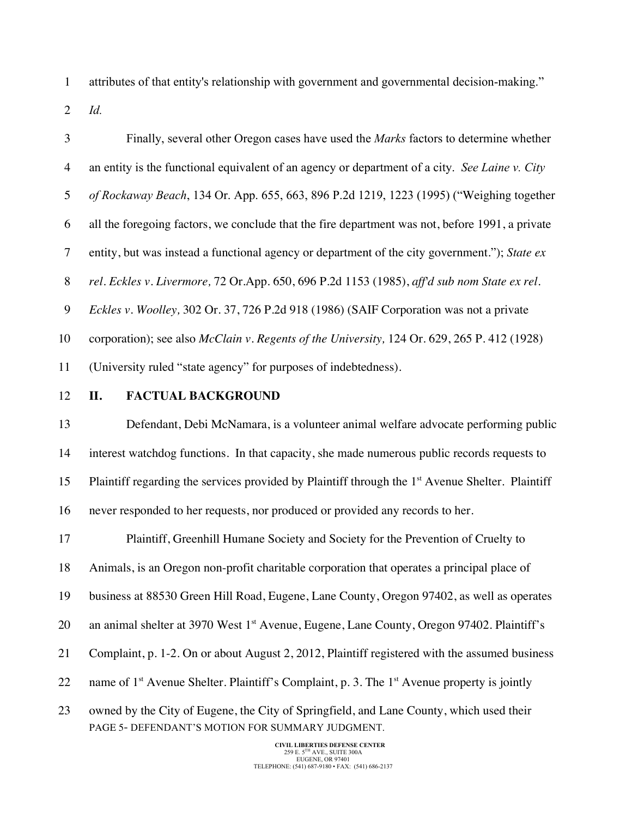attributes of that entity's relationship with government and governmental decision-making."

*Id.*

| 3              | Finally, several other Oregon cases have used the Marks factors to determine whether                                |
|----------------|---------------------------------------------------------------------------------------------------------------------|
| $\overline{4}$ | an entity is the functional equivalent of an agency or department of a city. See Laine v. City                      |
| 5              | of Rockaway Beach, 134 Or. App. 655, 663, 896 P.2d 1219, 1223 (1995) ("Weighing together                            |
| 6              | all the foregoing factors, we conclude that the fire department was not, before 1991, a private                     |
| $\tau$         | entity, but was instead a functional agency or department of the city government."); State ex                       |
| 8              | rel. Eckles v. Livermore, 72 Or.App. 650, 696 P.2d 1153 (1985), aff'd sub nom State ex rel.                         |
| 9              | Eckles v. Woolley, 302 Or. 37, 726 P.2d 918 (1986) (SAIF Corporation was not a private                              |
| 10             | corporation); see also <i>McClain v. Regents of the University</i> , 124 Or. 629, 265 P. 412 (1928)                 |
| 11             | (University ruled "state agency" for purposes of indebtedness).                                                     |
| 12             | <b>FACTUAL BACKGROUND</b><br>П.                                                                                     |
| 13             | Defendant, Debi McNamara, is a volunteer animal welfare advocate performing public                                  |
| 14             | interest watchdog functions. In that capacity, she made numerous public records requests to                         |
| 15             | Plaintiff regarding the services provided by Plaintiff through the 1 <sup>st</sup> Avenue Shelter. Plaintiff        |
| 16             | never responded to her requests, nor produced or provided any records to her.                                       |
| 17             | Plaintiff, Greenhill Humane Society and Society for the Prevention of Cruelty to                                    |
| 18             | Animals, is an Oregon non-profit charitable corporation that operates a principal place of                          |
| 19             | business at 88530 Green Hill Road, Eugene, Lane County, Oregon 97402, as well as operates                           |
| 20             | an animal shelter at 3970 West 1 <sup>st</sup> Avenue, Eugene, Lane County, Oregon 97402. Plaintiff's               |
| 21             | Complaint, p. 1-2. On or about August 2, 2012, Plaintiff registered with the assumed business                       |
| 22             | name of 1 <sup>st</sup> Avenue Shelter. Plaintiff's Complaint, p. 3. The 1 <sup>st</sup> Avenue property is jointly |
| 23             | owned by the City of Eugene, the City of Springfield, and Lane County, which used their                             |

**CIVIL LIBERTIES DEFENSE CENTER**<br>
259 E. 5<sup>TH</sup> AVE., SUITE 300A<br>
EUGENE, OR 97401<br>
TELEPHONE: (541) 687-9180 • FAX: (541) 686-2137

PAGE 5- DEFENDANT'S MOTION FOR SUMMARY JUDGMENT.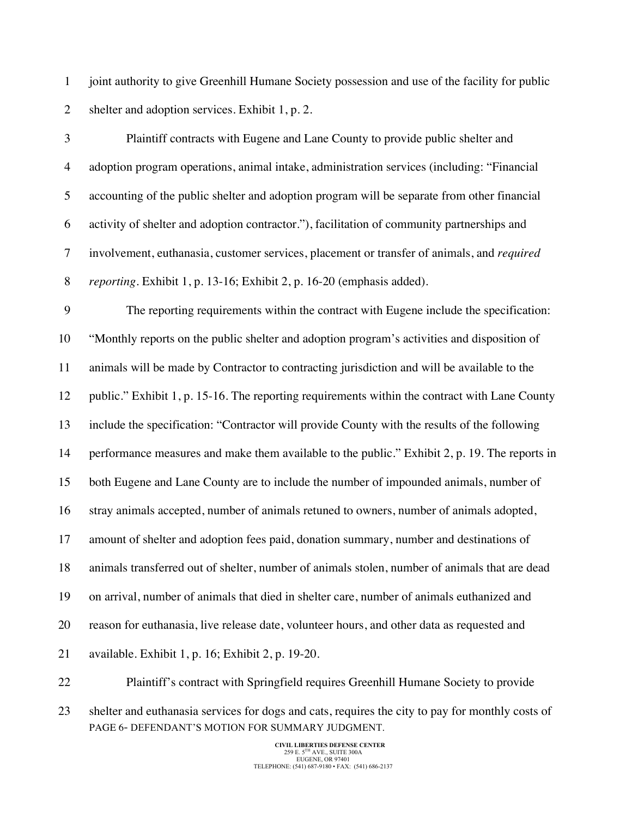joint authority to give Greenhill Humane Society possession and use of the facility for public shelter and adoption services. Exhibit 1, p. 2.

 Plaintiff contracts with Eugene and Lane County to provide public shelter and adoption program operations, animal intake, administration services (including: "Financial accounting of the public shelter and adoption program will be separate from other financial activity of shelter and adoption contractor."), facilitation of community partnerships and involvement, euthanasia, customer services, placement or transfer of animals, and *required reporting.* Exhibit 1, p. 13-16; Exhibit 2, p. 16-20 (emphasis added).

 The reporting requirements within the contract with Eugene include the specification: "Monthly reports on the public shelter and adoption program's activities and disposition of animals will be made by Contractor to contracting jurisdiction and will be available to the public." Exhibit 1, p. 15-16. The reporting requirements within the contract with Lane County include the specification: "Contractor will provide County with the results of the following 14 performance measures and make them available to the public." Exhibit 2, p. 19. The reports in both Eugene and Lane County are to include the number of impounded animals, number of stray animals accepted, number of animals retuned to owners, number of animals adopted, amount of shelter and adoption fees paid, donation summary, number and destinations of animals transferred out of shelter, number of animals stolen, number of animals that are dead on arrival, number of animals that died in shelter care, number of animals euthanized and reason for euthanasia, live release date, volunteer hours, and other data as requested and available. Exhibit 1, p. 16; Exhibit 2, p. 19-20.

PAGE 6- DEFENDANT'S MOTION FOR SUMMARY JUDGMENT. Plaintiff's contract with Springfield requires Greenhill Humane Society to provide shelter and euthanasia services for dogs and cats, requires the city to pay for monthly costs of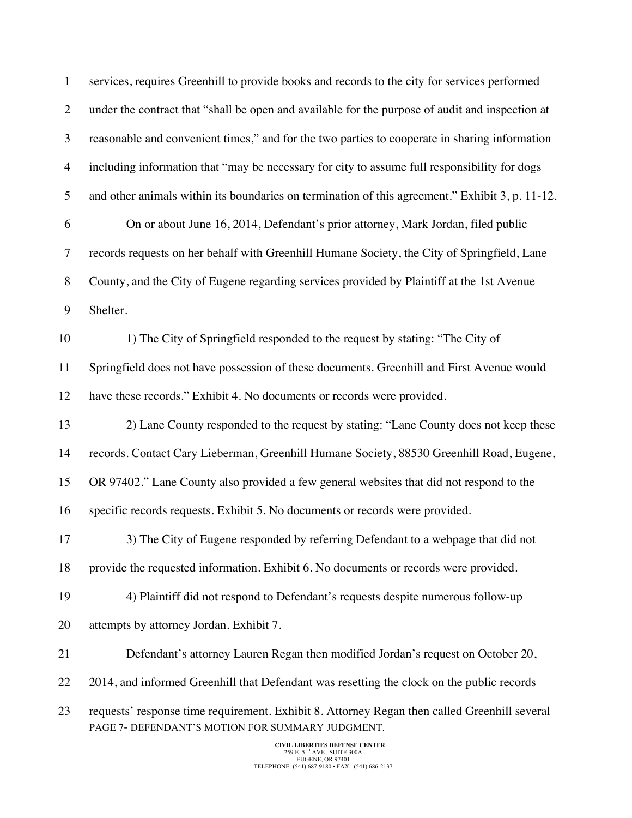| $\mathbf{1}$   | services, requires Greenhill to provide books and records to the city for services performed                                                     |
|----------------|--------------------------------------------------------------------------------------------------------------------------------------------------|
| $\overline{2}$ | under the contract that "shall be open and available for the purpose of audit and inspection at                                                  |
| 3              | reasonable and convenient times," and for the two parties to cooperate in sharing information                                                    |
| $\overline{4}$ | including information that "may be necessary for city to assume full responsibility for dogs                                                     |
| 5              | and other animals within its boundaries on termination of this agreement." Exhibit 3, p. 11-12.                                                  |
| 6              | On or about June 16, 2014, Defendant's prior attorney, Mark Jordan, filed public                                                                 |
| $\tau$         | records requests on her behalf with Greenhill Humane Society, the City of Springfield, Lane                                                      |
| $\, 8$         | County, and the City of Eugene regarding services provided by Plaintiff at the 1st Avenue                                                        |
| 9              | Shelter.                                                                                                                                         |
| 10             | 1) The City of Springfield responded to the request by stating: "The City of                                                                     |
| 11             | Springfield does not have possession of these documents. Greenhill and First Avenue would                                                        |
| 12             | have these records." Exhibit 4. No documents or records were provided.                                                                           |
| 13             | 2) Lane County responded to the request by stating: "Lane County does not keep these                                                             |
| 14             | records. Contact Cary Lieberman, Greenhill Humane Society, 88530 Greenhill Road, Eugene,                                                         |
| 15             | OR 97402." Lane County also provided a few general websites that did not respond to the                                                          |
| 16             | specific records requests. Exhibit 5. No documents or records were provided.                                                                     |
| 17             | 3) The City of Eugene responded by referring Defendant to a webpage that did not                                                                 |
| 18             | provide the requested information. Exhibit 6. No documents or records were provided.                                                             |
| 19             | 4) Plaintiff did not respond to Defendant's requests despite numerous follow-up                                                                  |
| 20             | attempts by attorney Jordan. Exhibit 7.                                                                                                          |
| 21             | Defendant's attorney Lauren Regan then modified Jordan's request on October 20,                                                                  |
| 22             | 2014, and informed Greenhill that Defendant was resetting the clock on the public records                                                        |
| 23             | requests' response time requirement. Exhibit 8. Attorney Regan then called Greenhill several<br>PAGE 7- DEFENDANT'S MOTION FOR SUMMARY JUDGMENT. |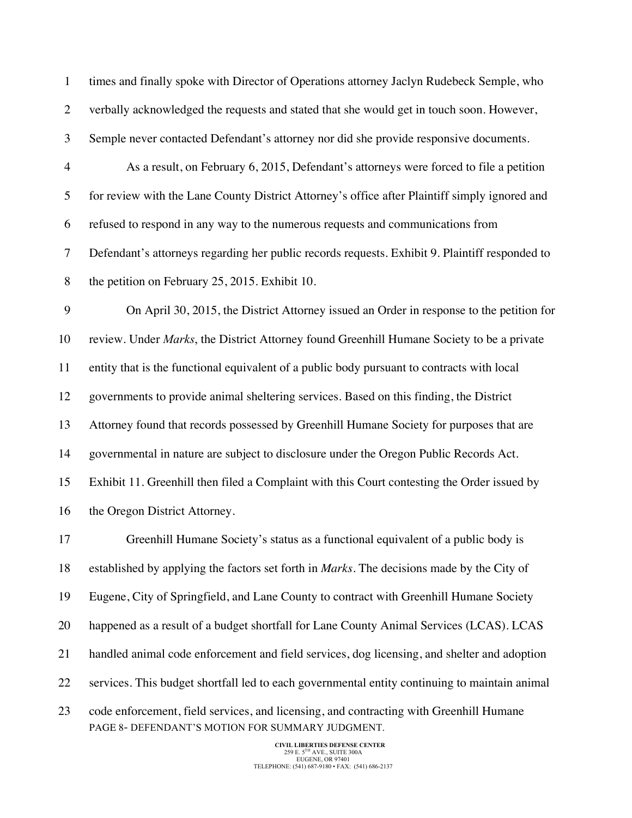times and finally spoke with Director of Operations attorney Jaclyn Rudebeck Semple, who verbally acknowledged the requests and stated that she would get in touch soon. However, Semple never contacted Defendant's attorney nor did she provide responsive documents. As a result, on February 6, 2015, Defendant's attorneys were forced to file a petition for review with the Lane County District Attorney's office after Plaintiff simply ignored and refused to respond in any way to the numerous requests and communications from Defendant's attorneys regarding her public records requests. Exhibit 9. Plaintiff responded to the petition on February 25, 2015. Exhibit 10. On April 30, 2015, the District Attorney issued an Order in response to the petition for review. Under *Marks*, the District Attorney found Greenhill Humane Society to be a private entity that is the functional equivalent of a public body pursuant to contracts with local governments to provide animal sheltering services. Based on this finding, the District Attorney found that records possessed by Greenhill Humane Society for purposes that are governmental in nature are subject to disclosure under the Oregon Public Records Act. Exhibit 11. Greenhill then filed a Complaint with this Court contesting the Order issued by

16 the Oregon District Attorney.

 Greenhill Humane Society's status as a functional equivalent of a public body is established by applying the factors set forth in *Marks*. The decisions made by the City of Eugene, City of Springfield, and Lane County to contract with Greenhill Humane Society happened as a result of a budget shortfall for Lane County Animal Services (LCAS). LCAS handled animal code enforcement and field services, dog licensing, and shelter and adoption services. This budget shortfall led to each governmental entity continuing to maintain animal

PAGE 8- DEFENDANT'S MOTION FOR SUMMARY JUDGMENT. code enforcement, field services, and licensing, and contracting with Greenhill Humane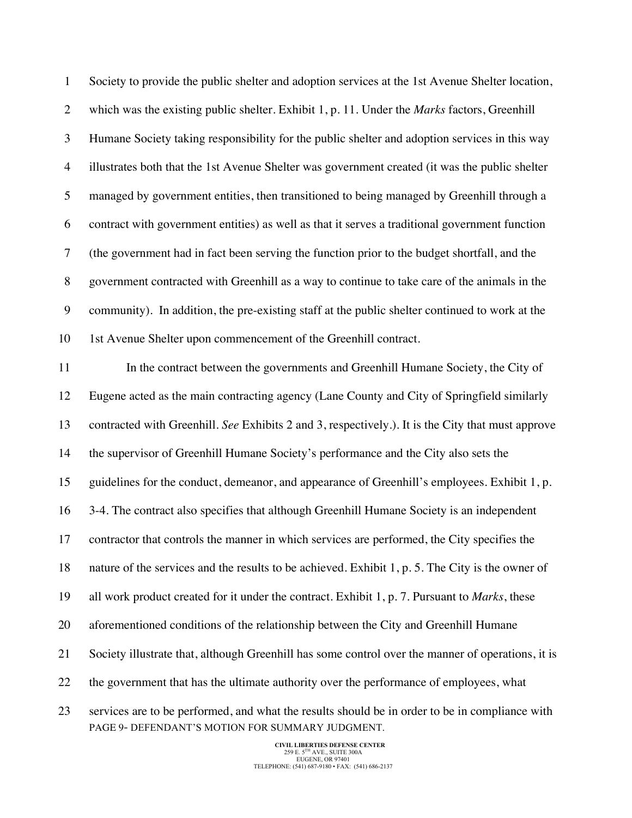PAGE 9- DEFENDANT'S MOTION FOR SUMMARY JUDGMENT. Society to provide the public shelter and adoption services at the 1st Avenue Shelter location, which was the existing public shelter. Exhibit 1, p. 11. Under the *Marks* factors, Greenhill Humane Society taking responsibility for the public shelter and adoption services in this way illustrates both that the 1st Avenue Shelter was government created (it was the public shelter managed by government entities, then transitioned to being managed by Greenhill through a contract with government entities) as well as that it serves a traditional government function (the government had in fact been serving the function prior to the budget shortfall, and the government contracted with Greenhill as a way to continue to take care of the animals in the community). In addition, the pre-existing staff at the public shelter continued to work at the 1st Avenue Shelter upon commencement of the Greenhill contract. In the contract between the governments and Greenhill Humane Society, the City of Eugene acted as the main contracting agency (Lane County and City of Springfield similarly contracted with Greenhill. *See* Exhibits 2 and 3, respectively.). It is the City that must approve the supervisor of Greenhill Humane Society's performance and the City also sets the guidelines for the conduct, demeanor, and appearance of Greenhill's employees. Exhibit 1, p. 3-4. The contract also specifies that although Greenhill Humane Society is an independent contractor that controls the manner in which services are performed, the City specifies the nature of the services and the results to be achieved. Exhibit 1, p. 5. The City is the owner of all work product created for it under the contract. Exhibit 1, p. 7. Pursuant to *Marks*, these aforementioned conditions of the relationship between the City and Greenhill Humane Society illustrate that, although Greenhill has some control over the manner of operations, it is the government that has the ultimate authority over the performance of employees, what services are to be performed, and what the results should be in order to be in compliance with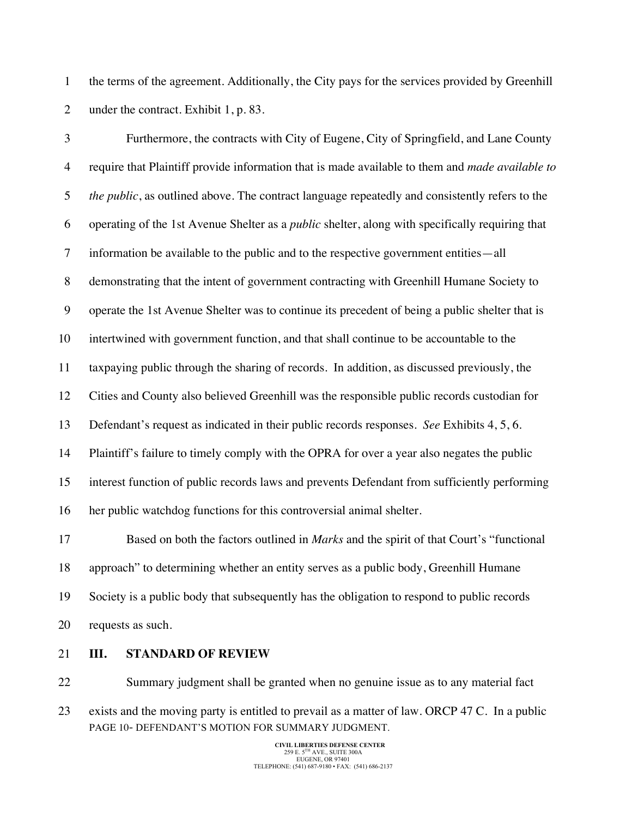the terms of the agreement. Additionally, the City pays for the services provided by Greenhill 2 under the contract. Exhibit 1, p. 83.

 Furthermore, the contracts with City of Eugene, City of Springfield, and Lane County require that Plaintiff provide information that is made available to them and *made available to the public*, as outlined above. The contract language repeatedly and consistently refers to the operating of the 1st Avenue Shelter as a *public* shelter, along with specifically requiring that information be available to the public and to the respective government entities—all demonstrating that the intent of government contracting with Greenhill Humane Society to operate the 1st Avenue Shelter was to continue its precedent of being a public shelter that is intertwined with government function, and that shall continue to be accountable to the taxpaying public through the sharing of records. In addition, as discussed previously, the Cities and County also believed Greenhill was the responsible public records custodian for Defendant's request as indicated in their public records responses. *See* Exhibits 4, 5, 6. Plaintiff's failure to timely comply with the OPRA for over a year also negates the public interest function of public records laws and prevents Defendant from sufficiently performing her public watchdog functions for this controversial animal shelter. Based on both the factors outlined in *Marks* and the spirit of that Court's "functional approach" to determining whether an entity serves as a public body, Greenhill Humane

Society is a public body that subsequently has the obligation to respond to public records

- requests as such.
- **III. STANDARD OF REVIEW**
- PAGE 10- DEFENDANT'S MOTION FOR SUMMARY JUDGMENT. Summary judgment shall be granted when no genuine issue as to any material fact exists and the moving party is entitled to prevail as a matter of law. ORCP 47 C. In a public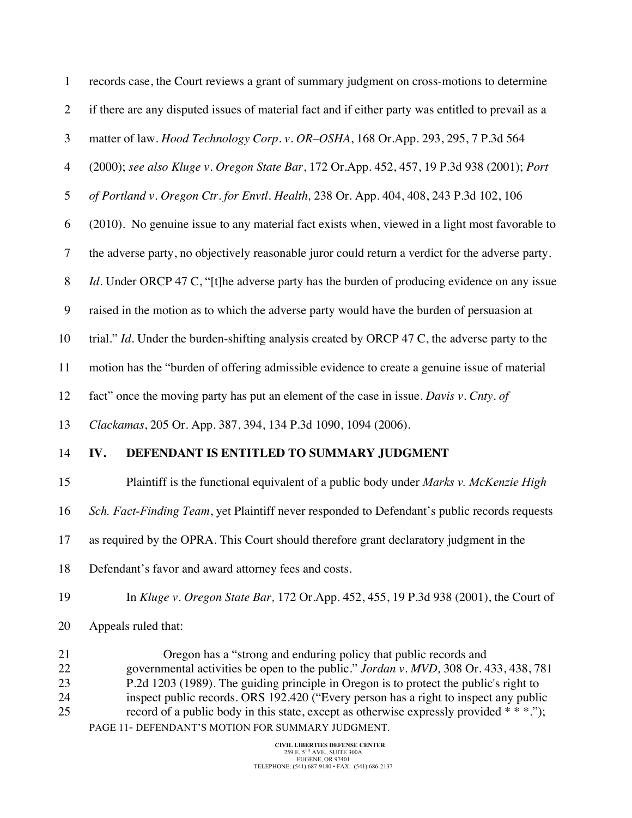| $\mathbf{1}$         | records case, the Court reviews a grant of summary judgment on cross-motions to determine                                                                                                                                                                                                                                                 |
|----------------------|-------------------------------------------------------------------------------------------------------------------------------------------------------------------------------------------------------------------------------------------------------------------------------------------------------------------------------------------|
| $\overline{2}$       | if there are any disputed issues of material fact and if either party was entitled to prevail as a                                                                                                                                                                                                                                        |
| 3                    | matter of law. Hood Technology Corp. v. OR-OSHA, 168 Or.App. 293, 295, 7 P.3d 564                                                                                                                                                                                                                                                         |
| $\overline{4}$       | (2000); see also Kluge v. Oregon State Bar, 172 Or.App. 452, 457, 19 P.3d 938 (2001); Port                                                                                                                                                                                                                                                |
| 5                    | of Portland v. Oregon Ctr. for Envtl. Health, 238 Or. App. 404, 408, 243 P.3d 102, 106                                                                                                                                                                                                                                                    |
| 6                    | (2010). No genuine issue to any material fact exists when, viewed in a light most favorable to                                                                                                                                                                                                                                            |
| $\overline{7}$       | the adverse party, no objectively reasonable juror could return a verdict for the adverse party.                                                                                                                                                                                                                                          |
| 8                    | <i>Id.</i> Under ORCP 47 C, "[t]he adverse party has the burden of producing evidence on any issue                                                                                                                                                                                                                                        |
| 9                    | raised in the motion as to which the adverse party would have the burden of persuasion at                                                                                                                                                                                                                                                 |
| 10                   | trial." Id. Under the burden-shifting analysis created by ORCP 47 C, the adverse party to the                                                                                                                                                                                                                                             |
| 11                   | motion has the "burden of offering admissible evidence to create a genuine issue of material                                                                                                                                                                                                                                              |
| 12                   | fact" once the moving party has put an element of the case in issue. Davis v. Cnty. of                                                                                                                                                                                                                                                    |
| 13                   | Clackamas, 205 Or. App. 387, 394, 134 P.3d 1090, 1094 (2006).                                                                                                                                                                                                                                                                             |
| 14                   | DEFENDANT IS ENTITLED TO SUMMARY JUDGMENT<br>IV.                                                                                                                                                                                                                                                                                          |
| 15                   | Plaintiff is the functional equivalent of a public body under Marks v. McKenzie High                                                                                                                                                                                                                                                      |
| 16                   | Sch. Fact-Finding Team, yet Plaintiff never responded to Defendant's public records requests                                                                                                                                                                                                                                              |
| 17                   | as required by the OPRA. This Court should therefore grant declaratory judgment in the                                                                                                                                                                                                                                                    |
| 18                   | Defendant's favor and award attorney fees and costs.                                                                                                                                                                                                                                                                                      |
| 19                   | In Kluge v. Oregon State Bar, 172 Or.App. 452, 455, 19 P.3d 938 (2001), the Court of                                                                                                                                                                                                                                                      |
| 20                   | Appeals ruled that:                                                                                                                                                                                                                                                                                                                       |
| 21<br>22<br>23<br>24 | Oregon has a "strong and enduring policy that public records and<br>governmental activities be open to the public." Jordan v. MVD, 308 Or. 433, 438, 781<br>P.2d 1203 (1989). The guiding principle in Oregon is to protect the public's right to<br>inspect public records. ORS 192.420 ("Every person has a right to inspect any public |

PAGE 11- DEFENDANT'S MOTION FOR SUMMARY JUDGMENT. 25 record of a public body in this state, except as otherwise expressly provided  $**$ .");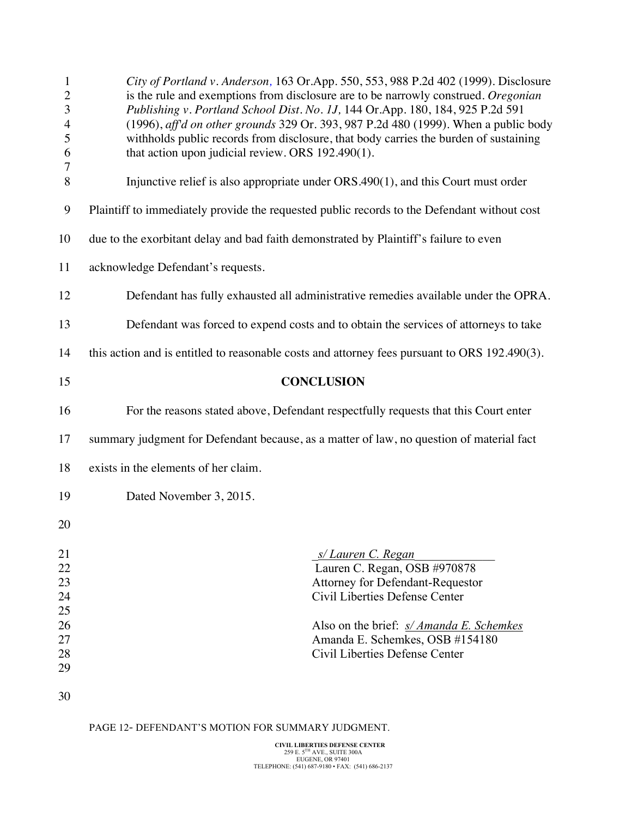| City of Portland v. Anderson, 163 Or.App. 550, 553, 988 P.2d 402 (1999). Disclosure<br>is the rule and exemptions from disclosure are to be narrowly construed. Oregonian<br>Publishing v. Portland School Dist. No. 1J, 144 Or.App. 180, 184, 925 P.2d 591<br>(1996), aff'd on other grounds 329 Or. 393, 987 P.2d 480 (1999). When a public body<br>withholds public records from disclosure, that body carries the burden of sustaining<br>that action upon judicial review. ORS 192.490(1). |
|-------------------------------------------------------------------------------------------------------------------------------------------------------------------------------------------------------------------------------------------------------------------------------------------------------------------------------------------------------------------------------------------------------------------------------------------------------------------------------------------------|
| Injunctive relief is also appropriate under $ORS.490(1)$ , and this Court must order                                                                                                                                                                                                                                                                                                                                                                                                            |
| Plaintiff to immediately provide the requested public records to the Defendant without cost                                                                                                                                                                                                                                                                                                                                                                                                     |
| due to the exorbitant delay and bad faith demonstrated by Plaintiff's failure to even                                                                                                                                                                                                                                                                                                                                                                                                           |
| acknowledge Defendant's requests.                                                                                                                                                                                                                                                                                                                                                                                                                                                               |
| Defendant has fully exhausted all administrative remedies available under the OPRA.                                                                                                                                                                                                                                                                                                                                                                                                             |
| Defendant was forced to expend costs and to obtain the services of attorneys to take                                                                                                                                                                                                                                                                                                                                                                                                            |
| this action and is entitled to reasonable costs and attorney fees pursuant to ORS 192.490(3).                                                                                                                                                                                                                                                                                                                                                                                                   |
| <b>CONCLUSION</b>                                                                                                                                                                                                                                                                                                                                                                                                                                                                               |
| For the reasons stated above, Defendant respectfully requests that this Court enter                                                                                                                                                                                                                                                                                                                                                                                                             |
| summary judgment for Defendant because, as a matter of law, no question of material fact                                                                                                                                                                                                                                                                                                                                                                                                        |
| exists in the elements of her claim.                                                                                                                                                                                                                                                                                                                                                                                                                                                            |
| Dated November 3, 2015.                                                                                                                                                                                                                                                                                                                                                                                                                                                                         |
|                                                                                                                                                                                                                                                                                                                                                                                                                                                                                                 |
| s/Lauren C. Regan<br>Lauren C. Regan, OSB #970878<br>Attorney for Defendant-Requestor<br>Civil Liberties Defense Center                                                                                                                                                                                                                                                                                                                                                                         |
|                                                                                                                                                                                                                                                                                                                                                                                                                                                                                                 |

PAGE 12- DEFENDANT'S MOTION FOR SUMMARY JUDGMENT.